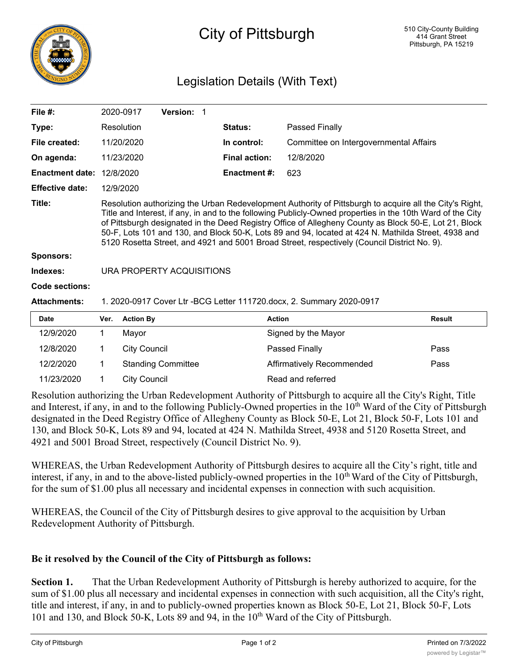

## City of Pittsburgh

## Legislation Details (With Text)

| File $#$ :             |                                                                                                                                                                                                                                                                                                                                                                                                                                                                                                                                      | 2020-0917           | Version: 1                |  |                      |                                        |               |
|------------------------|--------------------------------------------------------------------------------------------------------------------------------------------------------------------------------------------------------------------------------------------------------------------------------------------------------------------------------------------------------------------------------------------------------------------------------------------------------------------------------------------------------------------------------------|---------------------|---------------------------|--|----------------------|----------------------------------------|---------------|
|                        |                                                                                                                                                                                                                                                                                                                                                                                                                                                                                                                                      |                     |                           |  |                      |                                        |               |
| Type:                  |                                                                                                                                                                                                                                                                                                                                                                                                                                                                                                                                      | Resolution          |                           |  | <b>Status:</b>       | Passed Finally                         |               |
| File created:          |                                                                                                                                                                                                                                                                                                                                                                                                                                                                                                                                      | 11/20/2020          |                           |  | In control:          | Committee on Intergovernmental Affairs |               |
| On agenda:             |                                                                                                                                                                                                                                                                                                                                                                                                                                                                                                                                      | 11/23/2020          |                           |  | <b>Final action:</b> | 12/8/2020                              |               |
| <b>Enactment date:</b> |                                                                                                                                                                                                                                                                                                                                                                                                                                                                                                                                      | 12/8/2020           |                           |  | <b>Enactment #:</b>  | 623                                    |               |
| <b>Effective date:</b> |                                                                                                                                                                                                                                                                                                                                                                                                                                                                                                                                      | 12/9/2020           |                           |  |                      |                                        |               |
| Title:                 | Resolution authorizing the Urban Redevelopment Authority of Pittsburgh to acquire all the City's Right,<br>Title and Interest, if any, in and to the following Publicly-Owned properties in the 10th Ward of the City<br>of Pittsburgh designated in the Deed Registry Office of Allegheny County as Block 50-E, Lot 21, Block<br>50-F, Lots 101 and 130, and Block 50-K, Lots 89 and 94, located at 424 N. Mathilda Street, 4938 and<br>5120 Rosetta Street, and 4921 and 5001 Broad Street, respectively (Council District No. 9). |                     |                           |  |                      |                                        |               |
| <b>Sponsors:</b>       |                                                                                                                                                                                                                                                                                                                                                                                                                                                                                                                                      |                     |                           |  |                      |                                        |               |
| Indexes:               | URA PROPERTY ACQUISITIONS                                                                                                                                                                                                                                                                                                                                                                                                                                                                                                            |                     |                           |  |                      |                                        |               |
| Code sections:         |                                                                                                                                                                                                                                                                                                                                                                                                                                                                                                                                      |                     |                           |  |                      |                                        |               |
| <b>Attachments:</b>    | 1. 2020-0917 Cover Ltr - BCG Letter 111720.docx, 2. Summary 2020-0917                                                                                                                                                                                                                                                                                                                                                                                                                                                                |                     |                           |  |                      |                                        |               |
| <b>Date</b>            | Ver.                                                                                                                                                                                                                                                                                                                                                                                                                                                                                                                                 | <b>Action By</b>    |                           |  |                      | <b>Action</b>                          | <b>Result</b> |
| 12/9/2020              | 1                                                                                                                                                                                                                                                                                                                                                                                                                                                                                                                                    | Mayor               |                           |  |                      | Signed by the Mayor                    |               |
| 12/8/2020              | 1                                                                                                                                                                                                                                                                                                                                                                                                                                                                                                                                    | <b>City Council</b> |                           |  |                      | Passed Finally                         | Pass          |
| 12/2/2020              | 1                                                                                                                                                                                                                                                                                                                                                                                                                                                                                                                                    |                     | <b>Standing Committee</b> |  |                      | Affirmatively Recommended              | Pass          |
| 11/23/2020             | 1                                                                                                                                                                                                                                                                                                                                                                                                                                                                                                                                    | <b>City Council</b> |                           |  |                      | Read and referred                      |               |

Resolution authorizing the Urban Redevelopment Authority of Pittsburgh to acquire all the City's Right, Title and Interest, if any, in and to the following Publicly-Owned properties in the  $10<sup>th</sup>$  Ward of the City of Pittsburgh designated in the Deed Registry Office of Allegheny County as Block 50-E, Lot 21, Block 50-F, Lots 101 and 130, and Block 50-K, Lots 89 and 94, located at 424 N. Mathilda Street, 4938 and 5120 Rosetta Street, and 4921 and 5001 Broad Street, respectively (Council District No. 9).

WHEREAS, the Urban Redevelopment Authority of Pittsburgh desires to acquire all the City's right, title and interest, if any, in and to the above-listed publicly-owned properties in the  $10<sup>th</sup>$  Ward of the City of Pittsburgh, for the sum of \$1.00 plus all necessary and incidental expenses in connection with such acquisition.

WHEREAS, the Council of the City of Pittsburgh desires to give approval to the acquisition by Urban Redevelopment Authority of Pittsburgh.

## **Be it resolved by the Council of the City of Pittsburgh as follows:**

**Section 1.** That the Urban Redevelopment Authority of Pittsburgh is hereby authorized to acquire, for the sum of \$1.00 plus all necessary and incidental expenses in connection with such acquisition, all the City's right, title and interest, if any, in and to publicly-owned properties known as Block 50-E, Lot 21, Block 50-F, Lots 101 and 130, and Block 50-K, Lots 89 and 94, in the  $10^{th}$  Ward of the City of Pittsburgh.